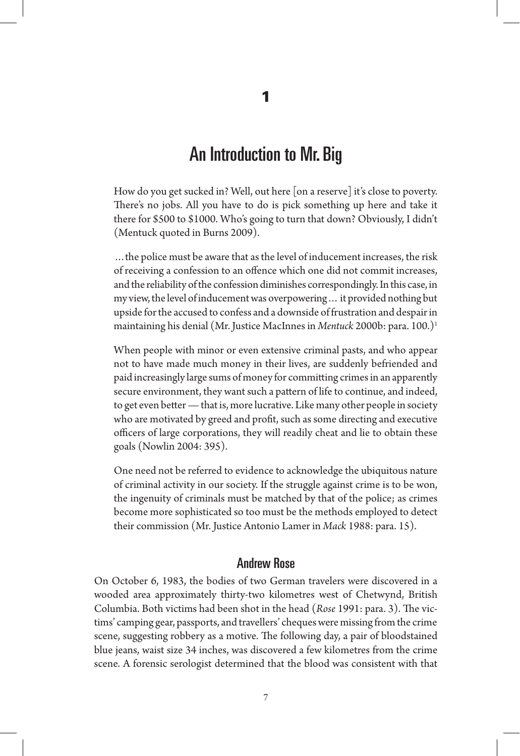How do you get sucked in? Well, out here [on a reserve] it's close to poverty. There's no jobs. All you have to do is pick something up here and take it there for \$500 to \$1000. Who's going to turn that down? Obviously, I didn't (Mentuck quoted in Burns 2009).

…the police must be aware that as the level of inducement increases, the risk of receiving a confession to an offence which one did not commit increases, and the reliability of the confession diminishes correspondingly. In this case, in my view, the level of inducement was overpowering… it provided nothing but upside for the accused to confess and a downside of frustration and despair in maintaining his denial (Mr. Justice MacInnes in *Mentuck* 2000b: para. 100.)<sup>1</sup>

When people with minor or even extensive criminal pasts, and who appear not to have made much money in their lives, are suddenly befriended and paid increasingly large sums of money for committing crimes in an apparently secure environment, they want such a pattern of life to continue, and indeed, to get even better — that is, more lucrative. Like many other people in society who are motivated by greed and profit, such as some directing and executive officers of large corporations, they will readily cheat and lie to obtain these goals (Nowlin 2004: 395).

One need not be referred to evidence to acknowledge the ubiquitous nature of criminal activity in our society. If the struggle against crime is to be won, the ingenuity of criminals must be matched by that of the police; as crimes become more sophisticated so too must be the methods employed to detect their commission (Mr. Justice Antonio Lamer in *Mack* 1988: para. 15).

### Andrew Rose

On October 6, 1983, the bodies of two German travelers were discovered in a wooded area approximately thirty-two kilometres west of Chetwynd, British Columbia. Both victims had been shot in the head (*Rose* 1991: para. 3). The victims' camping gear, passports, and travellers' cheques were missing from the crime scene, suggesting robbery as a motive. The following day, a pair of bloodstained blue jeans, waist size 34 inches, was discovered a few kilometres from the crime scene. A forensic serologist determined that the blood was consistent with that

1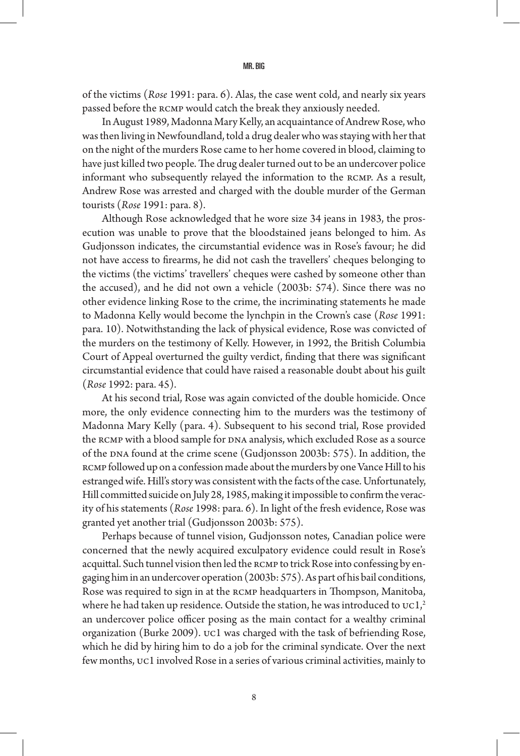of the victims (*Rose* 1991: para. 6). Alas, the case went cold, and nearly six years passed before the rcmp would catch the break they anxiously needed.

In August 1989, Madonna Mary Kelly, an acquaintance of Andrew Rose, who was then living in Newfoundland, told a drug dealer who was staying with her that on the night of the murders Rose came to her home covered in blood, claiming to have just killed two people. The drug dealer turned out to be an undercover police informant who subsequently relayed the information to the rcmp. As a result, Andrew Rose was arrested and charged with the double murder of the German tourists (*Rose* 1991: para. 8).

Although Rose acknowledged that he wore size 34 jeans in 1983, the prosecution was unable to prove that the bloodstained jeans belonged to him. As Gudjonsson indicates, the circumstantial evidence was in Rose's favour; he did not have access to firearms, he did not cash the travellers' cheques belonging to the victims (the victims' travellers' cheques were cashed by someone other than the accused), and he did not own a vehicle (2003b: 574). Since there was no other evidence linking Rose to the crime, the incriminating statements he made to Madonna Kelly would become the lynchpin in the Crown's case (*Rose* 1991: para. 10). Notwithstanding the lack of physical evidence, Rose was convicted of the murders on the testimony of Kelly. However, in 1992, the British Columbia Court of Appeal overturned the guilty verdict, finding that there was significant circumstantial evidence that could have raised a reasonable doubt about his guilt (*Rose* 1992: para. 45).

At his second trial, Rose was again convicted of the double homicide. Once more, the only evidence connecting him to the murders was the testimony of Madonna Mary Kelly (para. 4). Subsequent to his second trial, Rose provided the RCMP with a blood sample for DNA analysis, which excluded Rose as a source of the dna found at the crime scene (Gudjonsson 2003b: 575). In addition, the rcmp followed up on a confession made about the murders by one Vance Hill to his estranged wife. Hill's story was consistent with the facts of the case. Unfortunately, Hill committed suicide on July 28, 1985, making it impossible to confirm the veracity of his statements (*Rose* 1998: para. 6). In light of the fresh evidence, Rose was granted yet another trial (Gudjonsson 2003b: 575).

Perhaps because of tunnel vision, Gudjonsson notes, Canadian police were concerned that the newly acquired exculpatory evidence could result in Rose's acquittal. Such tunnel vision then led the rcmp to trick Rose into confessing by engaging him in an undercover operation (2003b: 575). As part of his bail conditions, Rose was required to sign in at the rcmp headquarters in Thompson, Manitoba, where he had taken up residence. Outside the station, he was introduced to  $\mathrm{ucl}_\mathrm{i}{}^2$ an undercover police officer posing as the main contact for a wealthy criminal organization (Burke 2009). uc1 was charged with the task of befriending Rose, which he did by hiring him to do a job for the criminal syndicate. Over the next few months, uc1 involved Rose in a series of various criminal activities, mainly to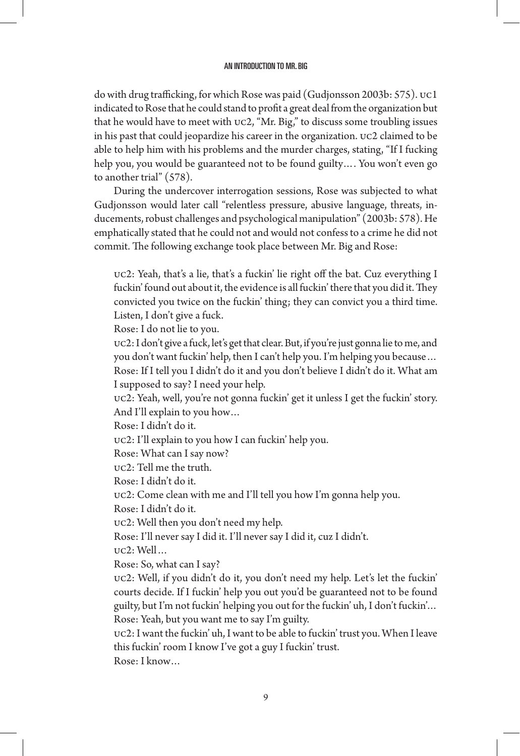do with drug trafficking, for which Rose was paid (Gudjonsson 2003b: 575). uc1 indicated to Rose that he could stand to profit a great deal from the organization but that he would have to meet with uc2, "Mr. Big," to discuss some troubling issues in his past that could jeopardize his career in the organization. uc2 claimed to be able to help him with his problems and the murder charges, stating, "If I fucking help you, you would be guaranteed not to be found guilty…. You won't even go to another trial" (578).

During the undercover interrogation sessions, Rose was subjected to what Gudjonsson would later call "relentless pressure, abusive language, threats, inducements, robust challenges and psychological manipulation" (2003b: 578). He emphatically stated that he could not and would not confess to a crime he did not commit. The following exchange took place between Mr. Big and Rose:

uc2: Yeah, that's a lie, that's a fuckin' lie right off the bat. Cuz everything I fuckin' found out about it, the evidence is all fuckin' there that you did it. They convicted you twice on the fuckin' thing; they can convict you a third time. Listen, I don't give a fuck.

Rose: I do not lie to you.

uc2: I don't give a fuck, let's get that clear. But, if you're just gonna lie to me, and you don't want fuckin' help, then I can't help you. I'm helping you because… Rose: If I tell you I didn't do it and you don't believe I didn't do it. What am I supposed to say? I need your help.

uc2: Yeah, well, you're not gonna fuckin' get it unless I get the fuckin' story. And I'll explain to you how…

Rose: I didn't do it.

uc2: I'll explain to you how I can fuckin' help you.

Rose: What can I say now?

uc2: Tell me the truth.

Rose: I didn't do it.

uc2: Come clean with me and I'll tell you how I'm gonna help you.

Rose: I didn't do it.

uc2: Well then you don't need my help.

Rose: I'll never say I did it. I'll never say I did it, cuz I didn't.

uc2: Well…

Rose: So, what can I say?

uc2: Well, if you didn't do it, you don't need my help. Let's let the fuckin' courts decide. If I fuckin' help you out you'd be guaranteed not to be found guilty, but I'm not fuckin' helping you out for the fuckin' uh, I don't fuckin'… Rose: Yeah, but you want me to say I'm guilty.

uc2: I want the fuckin' uh, I want to be able to fuckin' trust you. When I leave this fuckin' room I know I've got a guy I fuckin' trust. Rose: I know…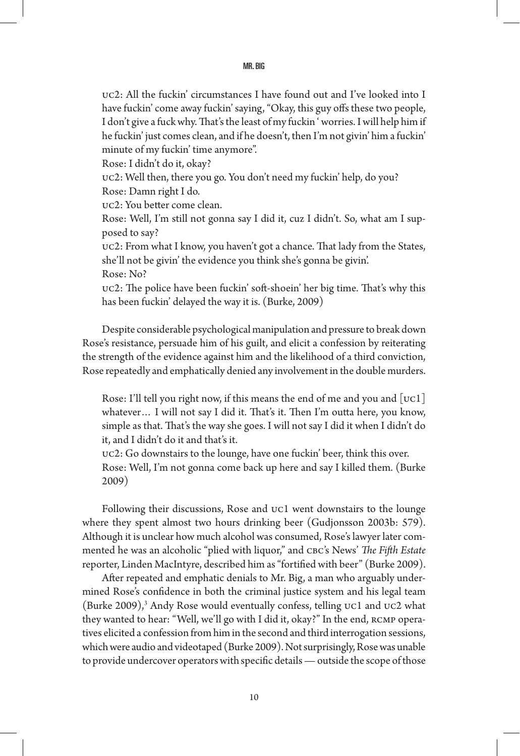uc2: All the fuckin' circumstances I have found out and I've looked into I have fuckin' come away fuckin' saying, "Okay, this guy offs these two people, I don't give a fuck why. That's the least of my fuckin ' worries. I will help him if he fuckin' just comes clean, and if he doesn't, then I'm not givin' him a fuckin' minute of my fuckin' time anymore".

Rose: I didn't do it, okay?

uc2: Well then, there you go. You don't need my fuckin' help, do you? Rose: Damn right I do.

uc2: You better come clean.

Rose: Well, I'm still not gonna say I did it, cuz I didn't. So, what am I supposed to say?

uc2: From what I know, you haven't got a chance. That lady from the States, she'll not be givin' the evidence you think she's gonna be givin'.

Rose: No?

uc2: The police have been fuckin' soft-shoein' her big time. That's why this has been fuckin' delayed the way it is. (Burke, 2009)

Despite considerable psychological manipulation and pressure to break down Rose's resistance, persuade him of his guilt, and elicit a confession by reiterating the strength of the evidence against him and the likelihood of a third conviction, Rose repeatedly and emphatically denied any involvement in the double murders.

Rose: I'll tell you right now, if this means the end of me and you and  $[vc1]$ whatever… I will not say I did it. That's it. Then I'm outta here, you know, simple as that. That's the way she goes. I will not say I did it when I didn't do it, and I didn't do it and that's it.

uc2: Go downstairs to the lounge, have one fuckin' beer, think this over. Rose: Well, I'm not gonna come back up here and say I killed them. (Burke 2009)

Following their discussions, Rose and uc1 went downstairs to the lounge where they spent almost two hours drinking beer (Gudjonsson 2003b: 579). Although it is unclear how much alcohol was consumed, Rose's lawyer later commented he was an alcoholic "plied with liquor," and cbc's News' *The Fifth Estate* reporter, Linden MacIntyre, described him as "fortified with beer" (Burke 2009).

After repeated and emphatic denials to Mr. Big, a man who arguably undermined Rose's confidence in both the criminal justice system and his legal team (Burke 2009), $3$  Andy Rose would eventually confess, telling  $\text{ucl}$  and  $\text{ucl}$  what they wanted to hear: "Well, we'll go with I did it, okay?" In the end, rcmp operatives elicited a confession from him in the second and third interrogation sessions, which were audio and videotaped (Burke 2009). Not surprisingly, Rose was unable to provide undercover operators with specific details — outside the scope of those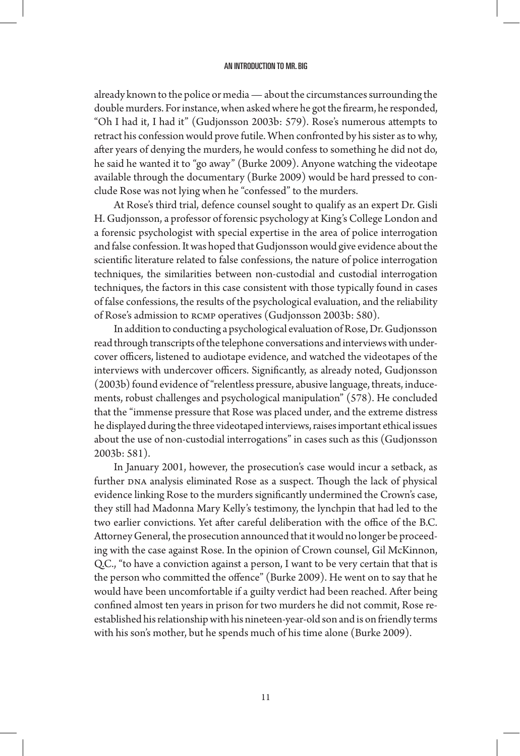already known to the police or media — about the circumstances surrounding the double murders. For instance, when asked where he got the firearm, he responded, "Oh I had it, I had it" (Gudjonsson 2003b: 579). Rose's numerous attempts to retract his confession would prove futile. When confronted by his sister as to why, after years of denying the murders, he would confess to something he did not do, he said he wanted it to "go away" (Burke 2009). Anyone watching the videotape available through the documentary (Burke 2009) would be hard pressed to conclude Rose was not lying when he "confessed" to the murders.

At Rose's third trial, defence counsel sought to qualify as an expert Dr. Gisli H. Gudjonsson, a professor of forensic psychology at King's College London and a forensic psychologist with special expertise in the area of police interrogation and false confession. It was hoped that Gudjonsson would give evidence about the scientific literature related to false confessions, the nature of police interrogation techniques, the similarities between non-custodial and custodial interrogation techniques, the factors in this case consistent with those typically found in cases of false confessions, the results of the psychological evaluation, and the reliability of Rose's admission to rcmp operatives (Gudjonsson 2003b: 580).

In addition to conducting a psychological evaluation of Rose, Dr. Gudjonsson read through transcripts of the telephone conversations and interviews with undercover officers, listened to audiotape evidence, and watched the videotapes of the interviews with undercover officers. Significantly, as already noted, Gudjonsson (2003b) found evidence of "relentless pressure, abusive language, threats, inducements, robust challenges and psychological manipulation" (578). He concluded that the "immense pressure that Rose was placed under, and the extreme distress he displayed during the three videotaped interviews, raises important ethical issues about the use of non-custodial interrogations" in cases such as this (Gudjonsson 2003b: 581).

In January 2001, however, the prosecution's case would incur a setback, as further DNA analysis eliminated Rose as a suspect. Though the lack of physical evidence linking Rose to the murders significantly undermined the Crown's case, they still had Madonna Mary Kelly's testimony, the lynchpin that had led to the two earlier convictions. Yet after careful deliberation with the office of the B.C. Attorney General, the prosecution announced that it would no longer be proceeding with the case against Rose. In the opinion of Crown counsel, Gil McKinnon, Q.C., "to have a conviction against a person, I want to be very certain that that is the person who committed the offence" (Burke 2009). He went on to say that he would have been uncomfortable if a guilty verdict had been reached. After being confined almost ten years in prison for two murders he did not commit, Rose reestablished his relationship with his nineteen-year-old son and is on friendly terms with his son's mother, but he spends much of his time alone (Burke 2009).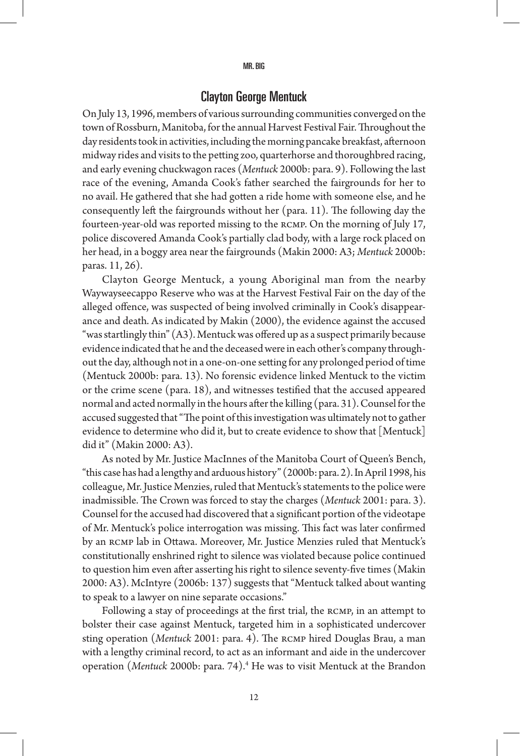### Clayton George Mentuck

On July 13, 1996, members of various surrounding communities converged on the town of Rossburn, Manitoba, for the annual Harvest Festival Fair. Throughout the day residents took in activities, including the morning pancake breakfast, afternoon midway rides and visits to the petting zoo, quarterhorse and thoroughbred racing, and early evening chuckwagon races (*Mentuck* 2000b: para. 9). Following the last race of the evening, Amanda Cook's father searched the fairgrounds for her to no avail. He gathered that she had gotten a ride home with someone else, and he consequently left the fairgrounds without her (para. 11). The following day the fourteen-year-old was reported missing to the rcmp. On the morning of July 17, police discovered Amanda Cook's partially clad body, with a large rock placed on her head, in a boggy area near the fairgrounds (Makin 2000: A3; *Mentuck* 2000b: paras. 11, 26).

Clayton George Mentuck, a young Aboriginal man from the nearby Waywayseecappo Reserve who was at the Harvest Festival Fair on the day of the alleged offence, was suspected of being involved criminally in Cook's disappearance and death. As indicated by Makin (2000), the evidence against the accused "was startlingly thin" (A3). Mentuck was offered up as a suspect primarily because evidence indicated that he and the deceased were in each other's company throughout the day, although not in a one-on-one setting for any prolonged period of time (Mentuck 2000b: para. 13). No forensic evidence linked Mentuck to the victim or the crime scene (para. 18), and witnesses testified that the accused appeared normal and acted normally in the hours after the killing (para. 31). Counsel for the accused suggested that "The point of this investigation was ultimately not to gather evidence to determine who did it, but to create evidence to show that [Mentuck] did it" (Makin 2000: A3).

As noted by Mr. Justice MacInnes of the Manitoba Court of Queen's Bench, "this case has had a lengthy and arduous history" (2000b: para. 2). In April 1998, his colleague, Mr. Justice Menzies, ruled that Mentuck's statements to the police were inadmissible. The Crown was forced to stay the charges (*Mentuck* 2001: para. 3). Counsel for the accused had discovered that a significant portion of the videotape of Mr. Mentuck's police interrogation was missing. This fact was later confirmed by an rcmp lab in Ottawa. Moreover, Mr. Justice Menzies ruled that Mentuck's constitutionally enshrined right to silence was violated because police continued to question him even after asserting his right to silence seventy-five times (Makin 2000: A3). McIntyre (2006b: 137) suggests that "Mentuck talked about wanting to speak to a lawyer on nine separate occasions."

Following a stay of proceedings at the first trial, the RCMP, in an attempt to bolster their case against Mentuck, targeted him in a sophisticated undercover sting operation (*Mentuck* 2001: para. 4). The rcmp hired Douglas Brau, a man with a lengthy criminal record, to act as an informant and aide in the undercover operation (*Mentuck* 2000b: para. 74).4 He was to visit Mentuck at the Brandon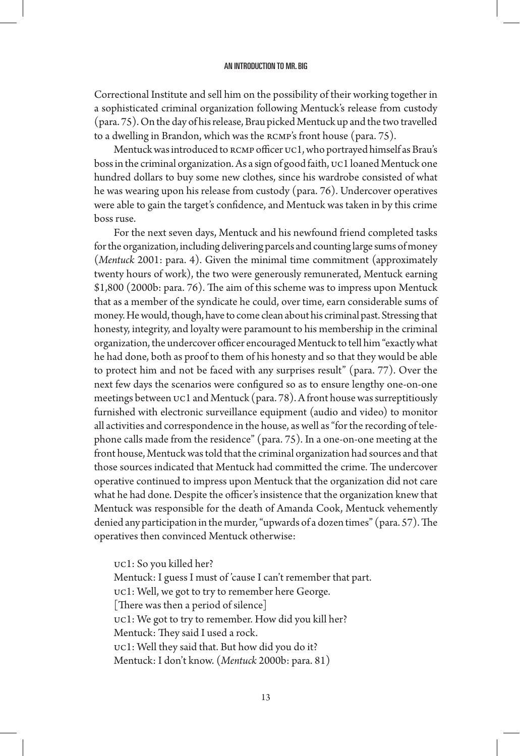Correctional Institute and sell him on the possibility of their working together in a sophisticated criminal organization following Mentuck's release from custody (para. 75). On the day of his release, Brau picked Mentuck up and the two travelled to a dwelling in Brandon, which was the rcmp's front house (para. 75).

Mentuck was introduced to RCMP officer UC1, who portrayed himself as Brau's boss in the criminal organization. As a sign of good faith, uc1 loaned Mentuck one hundred dollars to buy some new clothes, since his wardrobe consisted of what he was wearing upon his release from custody (para. 76). Undercover operatives were able to gain the target's confidence, and Mentuck was taken in by this crime boss ruse.

For the next seven days, Mentuck and his newfound friend completed tasks for the organization, including delivering parcels and counting large sums of money (*Mentuck* 2001: para. 4). Given the minimal time commitment (approximately twenty hours of work), the two were generously remunerated, Mentuck earning \$1,800 (2000b: para. 76). The aim of this scheme was to impress upon Mentuck that as a member of the syndicate he could, over time, earn considerable sums of money. He would, though, have to come clean about his criminal past. Stressing that honesty, integrity, and loyalty were paramount to his membership in the criminal organization, the undercover officer encouraged Mentuck to tell him "exactly what he had done, both as proof to them of his honesty and so that they would be able to protect him and not be faced with any surprises result" (para. 77). Over the next few days the scenarios were configured so as to ensure lengthy one-on-one meetings between uc1 and Mentuck (para. 78). A front house was surreptitiously furnished with electronic surveillance equipment (audio and video) to monitor all activities and correspondence in the house, as well as "for the recording of telephone calls made from the residence" (para. 75). In a one-on-one meeting at the front house, Mentuck was told that the criminal organization had sources and that those sources indicated that Mentuck had committed the crime. The undercover operative continued to impress upon Mentuck that the organization did not care what he had done. Despite the officer's insistence that the organization knew that Mentuck was responsible for the death of Amanda Cook, Mentuck vehemently denied any participation in the murder, "upwards of a dozen times" (para. 57). The operatives then convinced Mentuck otherwise:

uc1: So you killed her? Mentuck: I guess I must of 'cause I can't remember that part. uc1: Well, we got to try to remember here George. [There was then a period of silence] uc1: We got to try to remember. How did you kill her? Mentuck: They said I used a rock. uc1: Well they said that. But how did you do it? Mentuck: I don't know. (*Mentuck* 2000b: para. 81)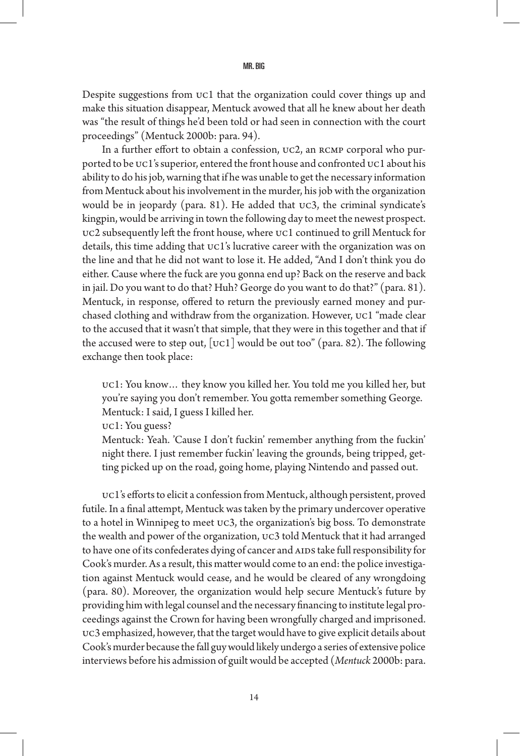Despite suggestions from uc1 that the organization could cover things up and make this situation disappear, Mentuck avowed that all he knew about her death was "the result of things he'd been told or had seen in connection with the court proceedings" (Mentuck 2000b: para. 94).

In a further effort to obtain a confession, uc2, an rcmp corporal who purported to be uc1's superior, entered the front house and confronted uc1 about his ability to do his job, warning that if he was unable to get the necessary information from Mentuck about his involvement in the murder, his job with the organization would be in jeopardy (para. 81). He added that uc3, the criminal syndicate's kingpin, would be arriving in town the following day to meet the newest prospect. uc2 subsequently left the front house, where uc1 continued to grill Mentuck for details, this time adding that uc1's lucrative career with the organization was on the line and that he did not want to lose it. He added, "And I don't think you do either. Cause where the fuck are you gonna end up? Back on the reserve and back in jail. Do you want to do that? Huh? George do you want to do that?" (para. 81). Mentuck, in response, offered to return the previously earned money and purchased clothing and withdraw from the organization. However, uc1 "made clear to the accused that it wasn't that simple, that they were in this together and that if the accused were to step out,  $[vc1]$  would be out too" (para. 82). The following exchange then took place:

uc1: You know… they know you killed her. You told me you killed her, but you're saying you don't remember. You gotta remember something George. Mentuck: I said, I guess I killed her.

uc1: You guess?

Mentuck: Yeah. 'Cause I don't fuckin' remember anything from the fuckin' night there. I just remember fuckin' leaving the grounds, being tripped, getting picked up on the road, going home, playing Nintendo and passed out.

uc1's efforts to elicit a confession from Mentuck, although persistent, proved futile. In a final attempt, Mentuck was taken by the primary undercover operative to a hotel in Winnipeg to meet uc3, the organization's big boss. To demonstrate the wealth and power of the organization, uc3 told Mentuck that it had arranged to have one of its confederates dying of cancer and AIDS take full responsibility for Cook's murder. As a result, this matter would come to an end: the police investigation against Mentuck would cease, and he would be cleared of any wrongdoing (para. 80). Moreover, the organization would help secure Mentuck's future by providing him with legal counsel and the necessary financing to institute legal proceedings against the Crown for having been wrongfully charged and imprisoned. uc3 emphasized, however, that the target would have to give explicit details about Cook's murder because the fall guy would likely undergo a series of extensive police interviews before his admission of guilt would be accepted (*Mentuck* 2000b: para.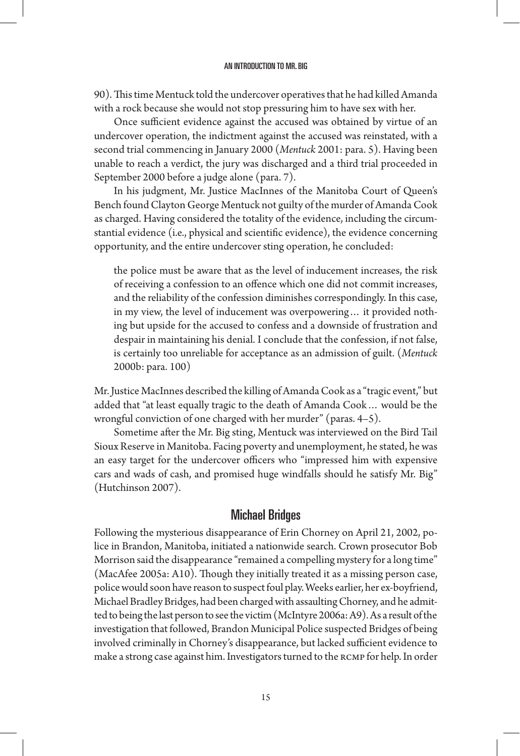90). This time Mentuck told the undercover operatives that he had killed Amanda with a rock because she would not stop pressuring him to have sex with her.

Once sufficient evidence against the accused was obtained by virtue of an undercover operation, the indictment against the accused was reinstated, with a second trial commencing in January 2000 (*Mentuck* 2001: para. 5). Having been unable to reach a verdict, the jury was discharged and a third trial proceeded in September 2000 before a judge alone (para. 7).

In his judgment, Mr. Justice MacInnes of the Manitoba Court of Queen's Bench found Clayton George Mentuck not guilty of the murder of Amanda Cook as charged. Having considered the totality of the evidence, including the circumstantial evidence (i.e., physical and scientific evidence), the evidence concerning opportunity, and the entire undercover sting operation, he concluded:

the police must be aware that as the level of inducement increases, the risk of receiving a confession to an offence which one did not commit increases, and the reliability of the confession diminishes correspondingly. In this case, in my view, the level of inducement was overpowering… it provided nothing but upside for the accused to confess and a downside of frustration and despair in maintaining his denial. I conclude that the confession, if not false, is certainly too unreliable for acceptance as an admission of guilt. (*Mentuck* 2000b: para. 100)

Mr. Justice MacInnes described the killing of Amanda Cook as a "tragic event," but added that "at least equally tragic to the death of Amanda Cook… would be the wrongful conviction of one charged with her murder" (paras. 4–5).

Sometime after the Mr. Big sting, Mentuck was interviewed on the Bird Tail Sioux Reserve in Manitoba. Facing poverty and unemployment, he stated, he was an easy target for the undercover officers who "impressed him with expensive cars and wads of cash, and promised huge windfalls should he satisfy Mr. Big" (Hutchinson 2007).

# Michael Bridges

Following the mysterious disappearance of Erin Chorney on April 21, 2002, police in Brandon, Manitoba, initiated a nationwide search. Crown prosecutor Bob Morrison said the disappearance "remained a compelling mystery for a long time" (MacAfee 2005a: A10). Though they initially treated it as a missing person case, police would soon have reason to suspect foul play. Weeks earlier, her ex-boyfriend, Michael Bradley Bridges, had been charged with assaulting Chorney, and he admitted to being the last person to see the victim (McIntyre 2006a: A9). As a result of the investigation that followed, Brandon Municipal Police suspected Bridges of being involved criminally in Chorney's disappearance, but lacked sufficient evidence to make a strong case against him. Investigators turned to the rcmp for help. In order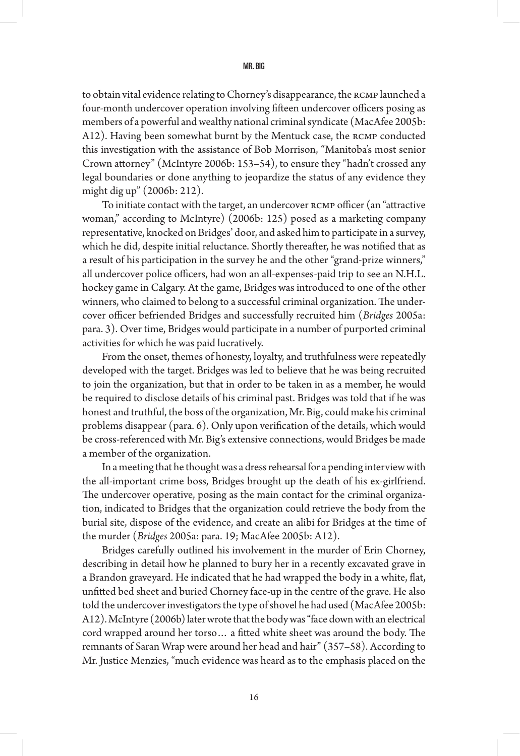to obtain vital evidence relating to Chorney's disappearance, the rcmp launched a four-month undercover operation involving fifteen undercover officers posing as members of a powerful and wealthy national criminal syndicate (MacAfee 2005b: A12). Having been somewhat burnt by the Mentuck case, the RCMP conducted this investigation with the assistance of Bob Morrison, "Manitoba's most senior Crown attorney" (McIntyre 2006b: 153–54), to ensure they "hadn't crossed any legal boundaries or done anything to jeopardize the status of any evidence they might dig up" (2006b: 212).

To initiate contact with the target, an undercover rcmp officer (an "attractive woman," according to McIntyre) (2006b: 125) posed as a marketing company representative, knocked on Bridges' door, and asked him to participate in a survey, which he did, despite initial reluctance. Shortly thereafter, he was notified that as a result of his participation in the survey he and the other "grand-prize winners," all undercover police officers, had won an all-expenses-paid trip to see an N.H.L. hockey game in Calgary. At the game, Bridges was introduced to one of the other winners, who claimed to belong to a successful criminal organization. The undercover officer befriended Bridges and successfully recruited him (*Bridges* 2005a: para. 3). Over time, Bridges would participate in a number of purported criminal activities for which he was paid lucratively.

From the onset, themes of honesty, loyalty, and truthfulness were repeatedly developed with the target. Bridges was led to believe that he was being recruited to join the organization, but that in order to be taken in as a member, he would be required to disclose details of his criminal past. Bridges was told that if he was honest and truthful, the boss of the organization, Mr. Big, could make his criminal problems disappear (para. 6). Only upon verification of the details, which would be cross-referenced with Mr. Big's extensive connections, would Bridges be made a member of the organization.

In a meeting that he thought was a dress rehearsal for a pending interview with the all-important crime boss, Bridges brought up the death of his ex-girlfriend. The undercover operative, posing as the main contact for the criminal organization, indicated to Bridges that the organization could retrieve the body from the burial site, dispose of the evidence, and create an alibi for Bridges at the time of the murder (*Bridges* 2005a: para. 19; MacAfee 2005b: A12).

Bridges carefully outlined his involvement in the murder of Erin Chorney, describing in detail how he planned to bury her in a recently excavated grave in a Brandon graveyard. He indicated that he had wrapped the body in a white, flat, unfitted bed sheet and buried Chorney face-up in the centre of the grave. He also told the undercover investigators the type of shovel he had used (MacAfee 2005b: A12). McIntyre (2006b) later wrote that the body was "face down with an electrical cord wrapped around her torso… a fitted white sheet was around the body. The remnants of Saran Wrap were around her head and hair" (357–58). According to Mr. Justice Menzies, "much evidence was heard as to the emphasis placed on the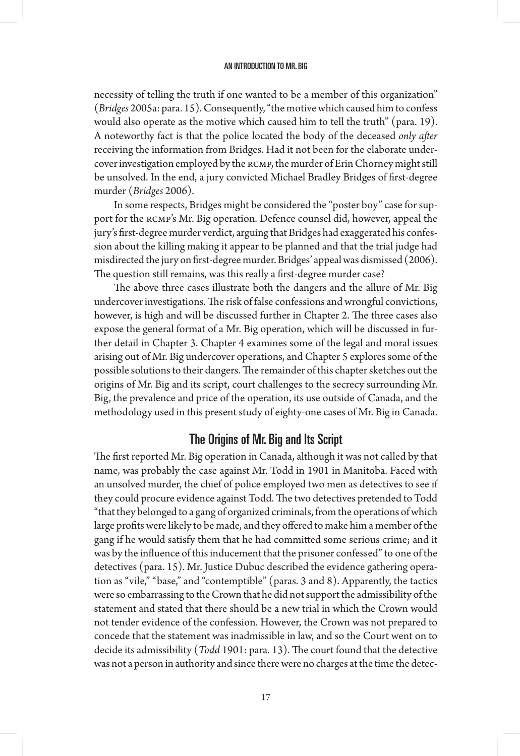necessity of telling the truth if one wanted to be a member of this organization" (*Bridges* 2005a: para. 15). Consequently, "the motive which caused him to confess would also operate as the motive which caused him to tell the truth" (para. 19). A noteworthy fact is that the police located the body of the deceased *only after* receiving the information from Bridges. Had it not been for the elaborate undercover investigation employed by the rcmp, the murder of Erin Chorney might still be unsolved. In the end, a jury convicted Michael Bradley Bridges of first-degree murder (*Bridges* 2006).

In some respects, Bridges might be considered the "poster boy" case for support for the rcmp's Mr. Big operation. Defence counsel did, however, appeal the jury's first-degree murder verdict, arguing that Bridges had exaggerated his confession about the killing making it appear to be planned and that the trial judge had misdirected the jury on first-degree murder. Bridges' appeal was dismissed (2006). The question still remains, was this really a first-degree murder case?

The above three cases illustrate both the dangers and the allure of Mr. Big undercover investigations. The risk of false confessions and wrongful convictions, however, is high and will be discussed further in Chapter 2. The three cases also expose the general format of a Mr. Big operation, which will be discussed in further detail in Chapter 3. Chapter 4 examines some of the legal and moral issues arising out of Mr. Big undercover operations, and Chapter 5 explores some of the possible solutions to their dangers. The remainder of this chapter sketches out the origins of Mr. Big and its script, court challenges to the secrecy surrounding Mr. Big, the prevalence and price of the operation, its use outside of Canada, and the methodology used in this present study of eighty-one cases of Mr. Big in Canada.

## The Origins of Mr. Big and Its Script

The first reported Mr. Big operation in Canada, although it was not called by that name, was probably the case against Mr. Todd in 1901 in Manitoba. Faced with an unsolved murder, the chief of police employed two men as detectives to see if they could procure evidence against Todd. The two detectives pretended to Todd "that they belonged to a gang of organized criminals, from the operations of which large profits were likely to be made, and they offered to make him a member of the gang if he would satisfy them that he had committed some serious crime; and it was by the influence of this inducement that the prisoner confessed" to one of the detectives (para. 15). Mr. Justice Dubuc described the evidence gathering operation as "vile," "base," and "contemptible" (paras. 3 and 8). Apparently, the tactics were so embarrassing to the Crown that he did not support the admissibility of the statement and stated that there should be a new trial in which the Crown would not tender evidence of the confession. However, the Crown was not prepared to concede that the statement was inadmissible in law, and so the Court went on to decide its admissibility (*Todd* 1901: para. 13). The court found that the detective was not a person in authority and since there were no charges at the time the detec-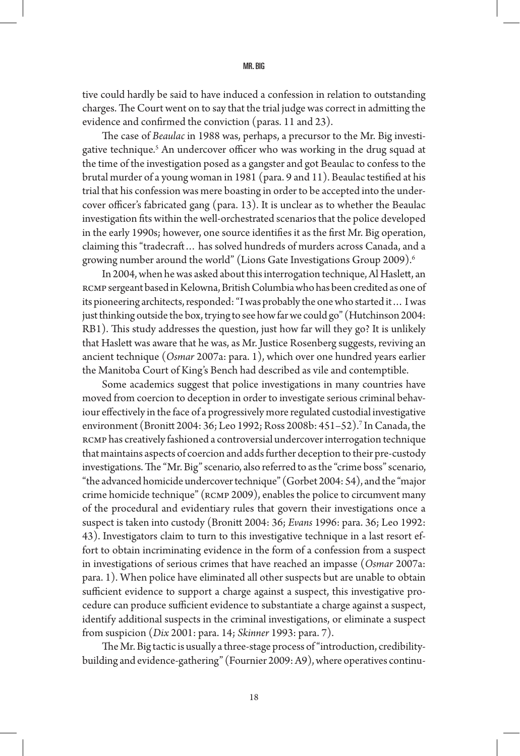tive could hardly be said to have induced a confession in relation to outstanding charges. The Court went on to say that the trial judge was correct in admitting the evidence and confirmed the conviction (paras. 11 and 23).

The case of *Beaulac* in 1988 was, perhaps, a precursor to the Mr. Big investigative technique.<sup>5</sup> An undercover officer who was working in the drug squad at the time of the investigation posed as a gangster and got Beaulac to confess to the brutal murder of a young woman in 1981 (para. 9 and 11). Beaulac testified at his trial that his confession was mere boasting in order to be accepted into the undercover officer's fabricated gang (para. 13). It is unclear as to whether the Beaulac investigation fits within the well-orchestrated scenarios that the police developed in the early 1990s; however, one source identifies it as the first Mr. Big operation, claiming this "tradecraft… has solved hundreds of murders across Canada, and a growing number around the world" (Lions Gate Investigations Group 2009).<sup>6</sup>

In 2004, when he was asked about this interrogation technique, Al Haslett, an rcmp sergeant based in Kelowna, British Columbia who has been credited as one of its pioneering architects, responded: "I was probably the one who started it… I was just thinking outside the box, trying to see how far we could go" (Hutchinson 2004: RB1). This study addresses the question, just how far will they go? It is unlikely that Haslett was aware that he was, as Mr. Justice Rosenberg suggests, reviving an ancient technique (*Osmar* 2007a: para. 1), which over one hundred years earlier the Manitoba Court of King's Bench had described as vile and contemptible.

Some academics suggest that police investigations in many countries have moved from coercion to deception in order to investigate serious criminal behaviour effectively in the face of a progressively more regulated custodial investigative environment (Bronitt 2004: 36; Leo 1992; Ross 2008b: 451–52).7 In Canada, the rcmp has creatively fashioned a controversial undercover interrogation technique that maintains aspects of coercion and adds further deception to their pre-custody investigations. The "Mr. Big" scenario, also referred to as the "crime boss" scenario, "the advanced homicide undercover technique" (Gorbet 2004: 54), and the "major crime homicide technique" (rcmp 2009), enables the police to circumvent many of the procedural and evidentiary rules that govern their investigations once a suspect is taken into custody (Bronitt 2004: 36; *Evans* 1996: para. 36; Leo 1992: 43). Investigators claim to turn to this investigative technique in a last resort effort to obtain incriminating evidence in the form of a confession from a suspect in investigations of serious crimes that have reached an impasse (*Osmar* 2007a: para. 1). When police have eliminated all other suspects but are unable to obtain sufficient evidence to support a charge against a suspect, this investigative procedure can produce sufficient evidence to substantiate a charge against a suspect, identify additional suspects in the criminal investigations, or eliminate a suspect from suspicion (*Dix* 2001: para. 14; *Skinner* 1993: para. 7).

The Mr. Big tactic is usually a three-stage process of "introduction, credibilitybuilding and evidence-gathering" (Fournier 2009: A9), where operatives continu-